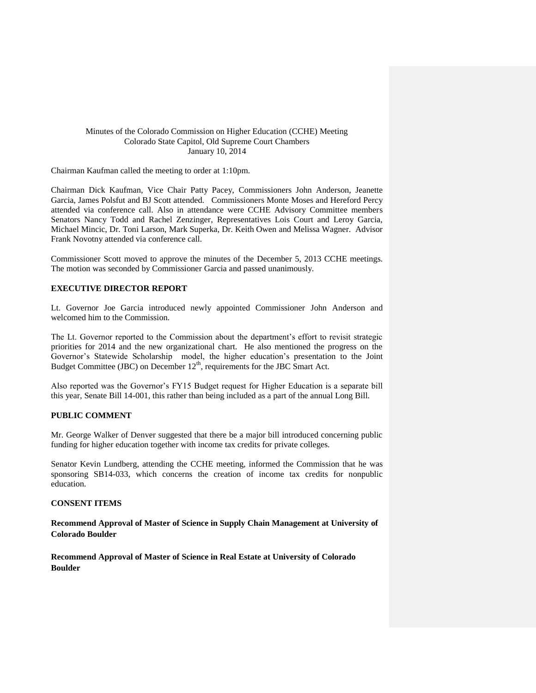### Minutes of the Colorado Commission on Higher Education (CCHE) Meeting Colorado State Capitol, Old Supreme Court Chambers January 10, 2014

Chairman Kaufman called the meeting to order at 1:10pm.

Chairman Dick Kaufman, Vice Chair Patty Pacey, Commissioners John Anderson, Jeanette Garcia, James Polsfut and BJ Scott attended. Commissioners Monte Moses and Hereford Percy attended via conference call. Also in attendance were CCHE Advisory Committee members Senators Nancy Todd and Rachel Zenzinger, Representatives Lois Court and Leroy Garcia, Michael Mincic, Dr. Toni Larson, Mark Superka, Dr. Keith Owen and Melissa Wagner. Advisor Frank Novotny attended via conference call.

Commissioner Scott moved to approve the minutes of the December 5, 2013 CCHE meetings. The motion was seconded by Commissioner Garcia and passed unanimously.

### **EXECUTIVE DIRECTOR REPORT**

Lt. Governor Joe Garcia introduced newly appointed Commissioner John Anderson and welcomed him to the Commission.

The Lt. Governor reported to the Commission about the department's effort to revisit strategic priorities for 2014 and the new organizational chart. He also mentioned the progress on the Governor's Statewide Scholarship model, the higher education's presentation to the Joint Budget Committee (JBC) on December  $12<sup>th</sup>$ , requirements for the JBC Smart Act.

Also reported was the Governor's FY15 Budget request for Higher Education is a separate bill this year, Senate Bill 14-001, this rather than being included as a part of the annual Long Bill.

### **PUBLIC COMMENT**

Mr. George Walker of Denver suggested that there be a major bill introduced concerning public funding for higher education together with income tax credits for private colleges.

Senator Kevin Lundberg, attending the CCHE meeting, informed the Commission that he was sponsoring SB14-033, which concerns the creation of income tax credits for nonpublic education.

### **CONSENT ITEMS**

**Recommend Approval of Master of Science in Supply Chain Management at University of Colorado Boulder**

**Recommend Approval of Master of Science in Real Estate at University of Colorado Boulder**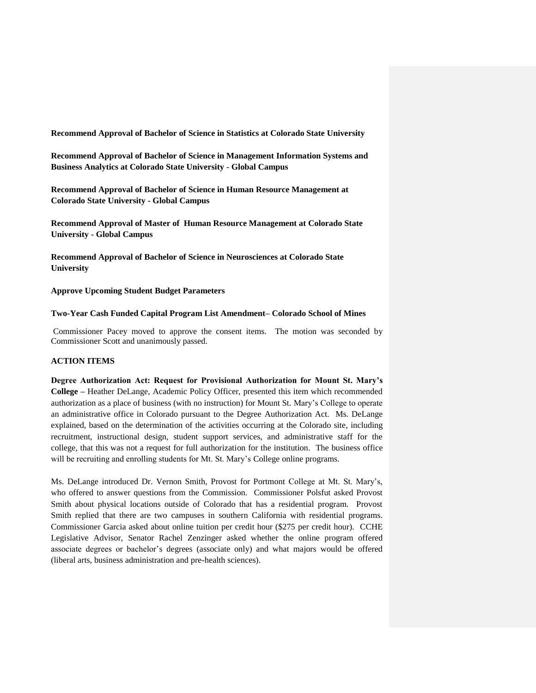**Recommend Approval of Bachelor of Science in Statistics at Colorado State University**

**Recommend Approval of Bachelor of Science in Management Information Systems and Business Analytics at Colorado State University - Global Campus** 

**Recommend Approval of Bachelor of Science in Human Resource Management at Colorado State University - Global Campus** 

**Recommend Approval of Master of Human Resource Management at Colorado State University - Global Campus**

**Recommend Approval of Bachelor of Science in Neurosciences at Colorado State University**

**Approve Upcoming Student Budget Parameters**

#### **Two-Year Cash Funded Capital Program List Amendment– Colorado School of Mines**

Commissioner Pacey moved to approve the consent items. The motion was seconded by Commissioner Scott and unanimously passed.

## **ACTION ITEMS**

**Degree Authorization Act: Request for Provisional Authorization for Mount St. Mary's College –** Heather DeLange, Academic Policy Officer, presented this item which recommended authorization as a place of business (with no instruction) for Mount St. Mary's College to operate an administrative office in Colorado pursuant to the Degree Authorization Act. Ms. DeLange explained, based on the determination of the activities occurring at the Colorado site, including recruitment, instructional design, student support services, and administrative staff for the college, that this was not a request for full authorization for the institution. The business office will be recruiting and enrolling students for Mt. St. Mary's College online programs.

Ms. DeLange introduced Dr. Vernon Smith, Provost for Portmont College at Mt. St. Mary's, who offered to answer questions from the Commission. Commissioner Polsfut asked Provost Smith about physical locations outside of Colorado that has a residential program. Provost Smith replied that there are two campuses in southern California with residential programs. Commissioner Garcia asked about online tuition per credit hour (\$275 per credit hour). CCHE Legislative Advisor, Senator Rachel Zenzinger asked whether the online program offered associate degrees or bachelor's degrees (associate only) and what majors would be offered (liberal arts, business administration and pre-health sciences).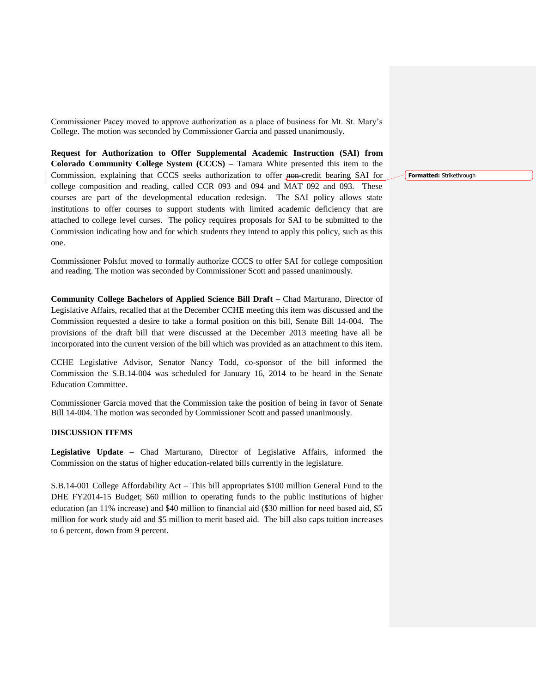Commissioner Pacey moved to approve authorization as a place of business for Mt. St. Mary's College. The motion was seconded by Commissioner Garcia and passed unanimously.

**Request for Authorization to Offer Supplemental Academic Instruction (SAI) from Colorado Community College System (CCCS) –** Tamara White presented this item to the Commission, explaining that CCCS seeks authorization to offer non-credit bearing SAI for college composition and reading, called CCR 093 and 094 and MAT 092 and 093. These courses are part of the developmental education redesign. The SAI policy allows state institutions to offer courses to support students with limited academic deficiency that are attached to college level curses. The policy requires proposals for SAI to be submitted to the Commission indicating how and for which students they intend to apply this policy, such as this one.

Commissioner Polsfut moved to formally authorize CCCS to offer SAI for college composition and reading. The motion was seconded by Commissioner Scott and passed unanimously.

**Community College Bachelors of Applied Science Bill Draft –** Chad Marturano, Director of Legislative Affairs, recalled that at the December CCHE meeting this item was discussed and the Commission requested a desire to take a formal position on this bill, Senate Bill 14-004. The provisions of the draft bill that were discussed at the December 2013 meeting have all be incorporated into the current version of the bill which was provided as an attachment to this item.

CCHE Legislative Advisor, Senator Nancy Todd, co-sponsor of the bill informed the Commission the S.B.14-004 was scheduled for January 16, 2014 to be heard in the Senate Education Committee.

Commissioner Garcia moved that the Commission take the position of being in favor of Senate Bill 14-004. The motion was seconded by Commissioner Scott and passed unanimously.

## **DISCUSSION ITEMS**

**Legislative Update –** Chad Marturano, Director of Legislative Affairs, informed the Commission on the status of higher education-related bills currently in the legislature.

S.B.14-001 College Affordability Act – This bill appropriates \$100 million General Fund to the DHE FY2014-15 Budget; \$60 million to operating funds to the public institutions of higher education (an 11% increase) and \$40 million to financial aid (\$30 million for need based aid, \$5 million for work study aid and \$5 million to merit based aid. The bill also caps tuition increases to 6 percent, down from 9 percent.

**Formatted:** Strikethrough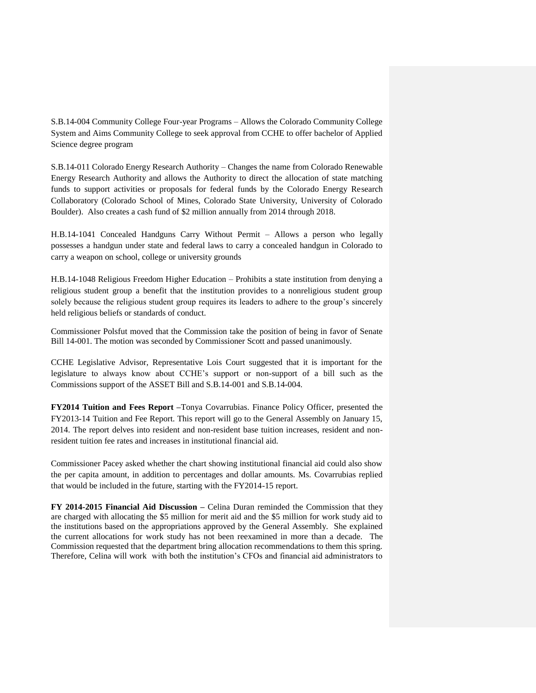S.B.14-004 Community College Four-year Programs – Allows the Colorado Community College System and Aims Community College to seek approval from CCHE to offer bachelor of Applied Science degree program

S.B.14-011 Colorado Energy Research Authority – Changes the name from Colorado Renewable Energy Research Authority and allows the Authority to direct the allocation of state matching funds to support activities or proposals for federal funds by the Colorado Energy Research Collaboratory (Colorado School of Mines, Colorado State University, University of Colorado Boulder). Also creates a cash fund of \$2 million annually from 2014 through 2018.

H.B.14-1041 Concealed Handguns Carry Without Permit – Allows a person who legally possesses a handgun under state and federal laws to carry a concealed handgun in Colorado to carry a weapon on school, college or university grounds

H.B.14-1048 Religious Freedom Higher Education – Prohibits a state institution from denying a religious student group a benefit that the institution provides to a nonreligious student group solely because the religious student group requires its leaders to adhere to the group's sincerely held religious beliefs or standards of conduct.

Commissioner Polsfut moved that the Commission take the position of being in favor of Senate Bill 14-001. The motion was seconded by Commissioner Scott and passed unanimously.

CCHE Legislative Advisor, Representative Lois Court suggested that it is important for the legislature to always know about CCHE's support or non-support of a bill such as the Commissions support of the ASSET Bill and S.B.14-001 and S.B.14-004.

**FY2014 Tuition and Fees Report –**Tonya Covarrubias. Finance Policy Officer, presented the FY2013-14 Tuition and Fee Report. This report will go to the General Assembly on January 15, 2014. The report delves into resident and non-resident base tuition increases, resident and nonresident tuition fee rates and increases in institutional financial aid.

Commissioner Pacey asked whether the chart showing institutional financial aid could also show the per capita amount, in addition to percentages and dollar amounts. Ms. Covarrubias replied that would be included in the future, starting with the FY2014-15 report.

**FY 2014-2015 Financial Aid Discussion –** Celina Duran reminded the Commission that they are charged with allocating the \$5 million for merit aid and the \$5 million for work study aid to the institutions based on the appropriations approved by the General Assembly. She explained the current allocations for work study has not been reexamined in more than a decade. The Commission requested that the department bring allocation recommendations to them this spring. Therefore, Celina will work with both the institution's CFOs and financial aid administrators to